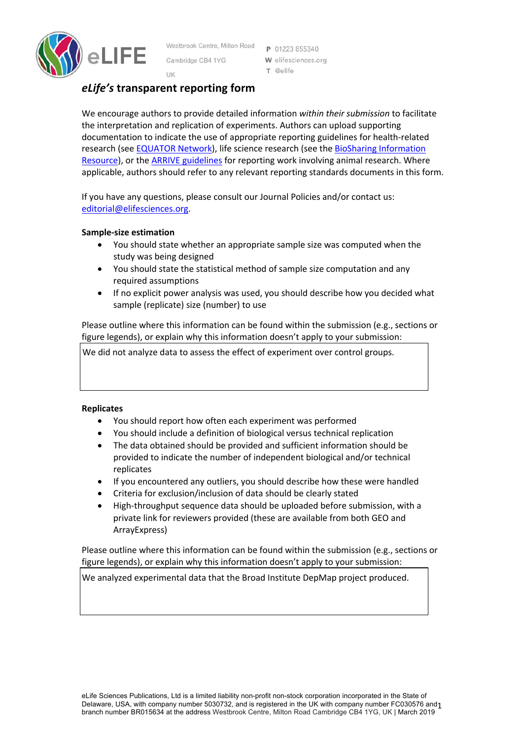

Westbrook Centre, Milton Road Cambridge CB4 1YG

P 01223 855340 W elifesciences.org T @elife

# UK *eLife's* **transparent reporting form**

We encourage authors to provide detailed information *within their submission* to facilitate the interpretation and replication of experiments. Authors can upload supporting documentation to indicate the use of appropriate reporting guidelines for health-related research (see **EQUATOR Network**), life science research (see the **BioSharing Information** Resource), or the ARRIVE guidelines for reporting work involving animal research. Where applicable, authors should refer to any relevant reporting standards documents in this form.

If you have any questions, please consult our Journal Policies and/or contact us: editorial@elifesciences.org.

### **Sample-size estimation**

- You should state whether an appropriate sample size was computed when the study was being designed
- You should state the statistical method of sample size computation and any required assumptions
- If no explicit power analysis was used, you should describe how you decided what sample (replicate) size (number) to use

Please outline where this information can be found within the submission (e.g., sections or figure legends), or explain why this information doesn't apply to your submission:

We did not analyze data to assess the effect of experiment over control groups.

### **Replicates**

- You should report how often each experiment was performed
- You should include a definition of biological versus technical replication
- The data obtained should be provided and sufficient information should be provided to indicate the number of independent biological and/or technical replicates
- If you encountered any outliers, you should describe how these were handled
- Criteria for exclusion/inclusion of data should be clearly stated
- High-throughput sequence data should be uploaded before submission, with a private link for reviewers provided (these are available from both GEO and ArrayExpress)

Please outline where this information can be found within the submission (e.g., sections or figure legends), or explain why this information doesn't apply to your submission:

We analyzed experimental data that the Broad Institute DepMap project produced.